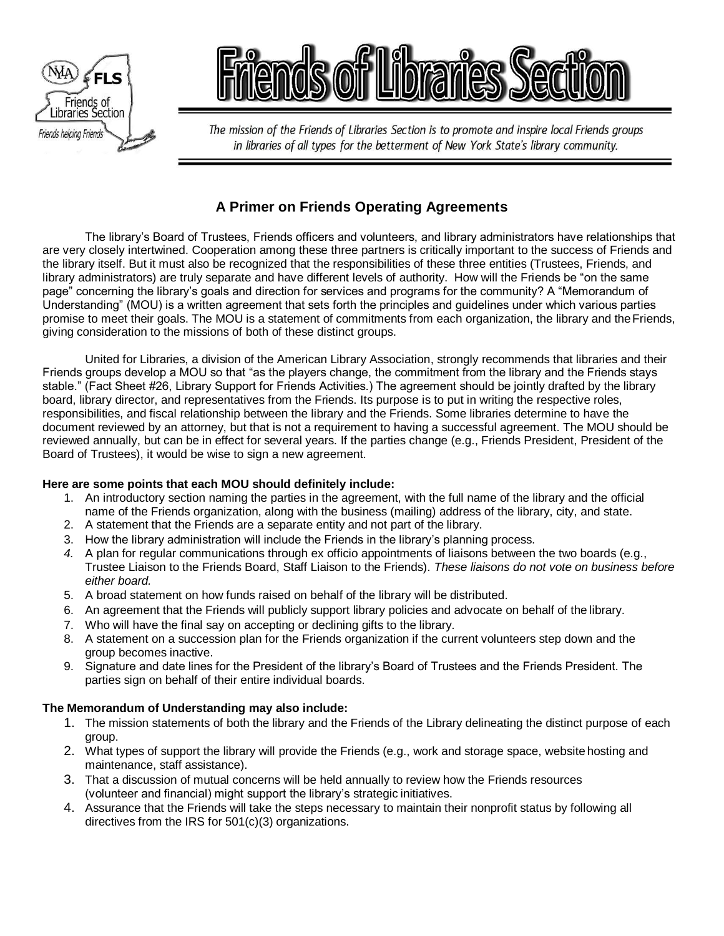



The mission of the Friends of Libraries Section is to promote and inspire local Friends groups in libraries of all types for the betterment of New York State's library community.

# **A Primer on Friends Operating Agreements**

The library's Board of Trustees, Friends officers and volunteers, and library administrators have relationships that are very closely intertwined. Cooperation among these three partners is critically important to the success of Friends and the library itself. But it must also be recognized that the responsibilities of these three entities (Trustees, Friends, and library administrators) are truly separate and have different levels of authority. How will the Friends be "on the same page" concerning the library's goals and direction for services and programs for the community? A "Memorandum of Understanding" (MOU) is a written agreement that sets forth the principles and guidelines under which various parties promise to meet their goals. The MOU is a statement of commitments from each organization, the library and theFriends, giving consideration to the missions of both of these distinct groups.

United for Libraries, a division of the American Library Association, strongly recommends that libraries and their Friends groups develop a MOU so that "as the players change, the commitment from the library and the Friends stays stable." (Fact Sheet #26, Library Support for Friends Activities.) The agreement should be jointly drafted by the library board, library director, and representatives from the Friends. Its purpose is to put in writing the respective roles, responsibilities, and fiscal relationship between the library and the Friends. Some libraries determine to have the document reviewed by an attorney, but that is not a requirement to having a successful agreement. The MOU should be reviewed annually, but can be in effect for several years. If the parties change (e.g., Friends President, President of the Board of Trustees), it would be wise to sign a new agreement.

## **Here are some points that each MOU should definitely include:**

- 1. An introductory section naming the parties in the agreement, with the full name of the library and the official name of the Friends organization, along with the business (mailing) address of the library, city, and state.
- 2. A statement that the Friends are a separate entity and not part of the library.
- 3. How the library administration will include the Friends in the library's planning process.
- *4.* A plan for regular communications through ex officio appointments of liaisons between the two boards (e.g., Trustee Liaison to the Friends Board, Staff Liaison to the Friends). *These liaisons do not vote on business before either board.*
- 5. A broad statement on how funds raised on behalf of the library will be distributed.
- 6. An agreement that the Friends will publicly support library policies and advocate on behalf of the library.
- 7. Who will have the final say on accepting or declining gifts to the library.
- 8. A statement on a succession plan for the Friends organization if the current volunteers step down and the group becomes inactive.
- 9. Signature and date lines for the President of the library's Board of Trustees and the Friends President. The parties sign on behalf of their entire individual boards.

## **The Memorandum of Understanding may also include:**

- 1. The mission statements of both the library and the Friends of the Library delineating the distinct purpose of each group.
- 2. What types of support the library will provide the Friends (e.g., work and storage space, website hosting and maintenance, staff assistance).
- 3. That a discussion of mutual concerns will be held annually to review how the Friends resources (volunteer and financial) might support the library's strategic initiatives.
- 4. Assurance that the Friends will take the steps necessary to maintain their nonprofit status by following all directives from the IRS for 501(c)(3) organizations.